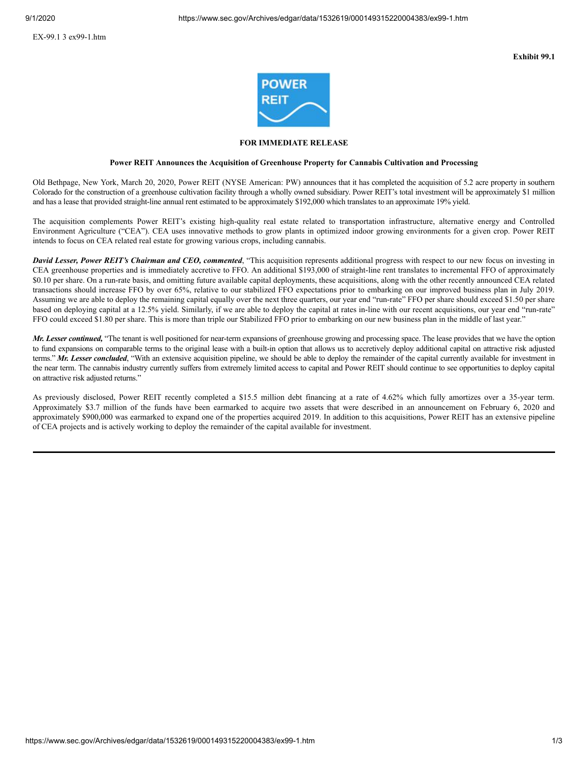

## **FOR IMMEDIATE RELEASE**

#### **Power REIT Announces the Acquisition of Greenhouse Property for Cannabis Cultivation and Processing**

Old Bethpage, New York, March 20, 2020, Power REIT (NYSE American: PW) announces that it has completed the acquisition of 5.2 acre property in southern Colorado for the construction of a greenhouse cultivation facility through a wholly owned subsidiary. Power REIT's total investment will be approximately \$1 million and has a lease that provided straight-line annual rent estimated to be approximately \$192,000 which translates to an approximate 19% yield.

The acquisition complements Power REIT's existing high-quality real estate related to transportation infrastructure, alternative energy and Controlled Environment Agriculture ("CEA"). CEA uses innovative methods to grow plants in optimized indoor growing environments for a given crop. Power REIT intends to focus on CEA related real estate for growing various crops, including cannabis.

*David Lesser, Power REIT's Chairman and CEO, commented*, "This acquisition represents additional progress with respect to our new focus on investing in CEA greenhouse properties and is immediately accretive to FFO. An additional \$193,000 of straight-line rent translates to incremental FFO of approximately \$0.10 per share. On a run-rate basis, and omitting future available capital deployments, these acquisitions, along with the other recently announced CEA related transactions should increase FFO by over 65%, relative to our stabilized FFO expectations prior to embarking on our improved business plan in July 2019. Assuming we are able to deploy the remaining capital equally over the next three quarters, our year end "run-rate" FFO per share should exceed \$1.50 per share based on deploying capital at a 12.5% yield. Similarly, if we are able to deploy the capital at rates in-line with our recent acquisitions, our year end "run-rate" FFO could exceed \$1.80 per share. This is more than triple our Stabilized FFO prior to embarking on our new business plan in the middle of last year."

*Mr. Lesser continued,* "The tenant is well positioned for near-term expansions of greenhouse growing and processing space. The lease provides that we have the option to fund expansions on comparable terms to the original lease with a built-in option that allows us to accretively deploy additional capital on attractive risk adjusted terms." Mr. Lesser concluded, "With an extensive acquisition pipeline, we should be able to deploy the remainder of the capital currently available for investment in the near term. The cannabis industry currently suffers from extremely limited access to capital and Power REIT should continue to see opportunities to deploy capital on attractive risk adjusted returns."

As previously disclosed, Power REIT recently completed a \$15.5 million debt financing at a rate of 4.62% which fully amortizes over a 35-year term. Approximately \$3.7 million of the funds have been earmarked to acquire two assets that were described in an announcement on February 6, 2020 and approximately \$900,000 was earmarked to expand one of the properties acquired 2019. In addition to this acquisitions, Power REIT has an extensive pipeline of CEA projects and is actively working to deploy the remainder of the capital available for investment.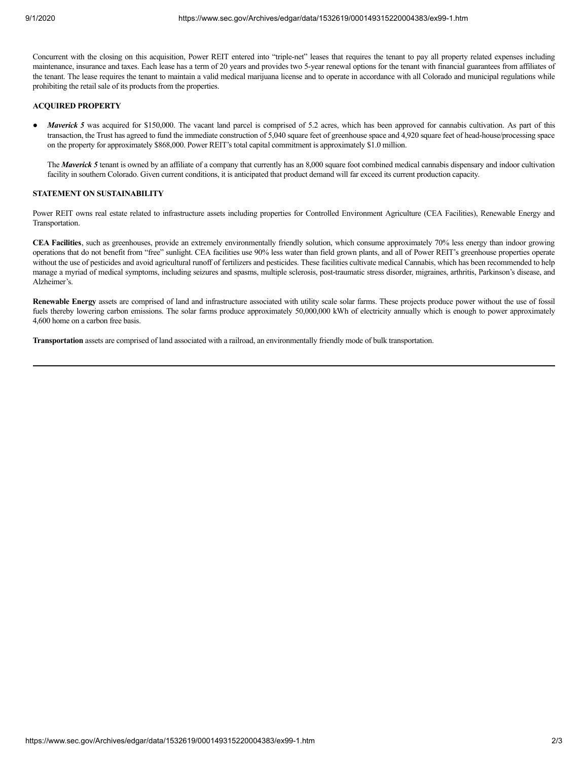Concurrent with the closing on this acquisition, Power REIT entered into "triple-net" leases that requires the tenant to pay all property related expenses including maintenance, insurance and taxes. Each lease has a term of 20 years and provides two 5-year renewal options for the tenant with financial guarantees from affiliates of the tenant. The lease requires the tenant to maintain a valid medical marijuana license and to operate in accordance with all Colorado and municipal regulations while prohibiting the retail sale of its products from the properties.

#### **ACQUIRED PROPERTY**

*Maverick* 5 was acquired for \$150,000. The vacant land parcel is comprised of 5.2 acres, which has been approved for cannabis cultivation. As part of this transaction, the Trust has agreed to fund the immediate construction of 5,040 square feet of greenhouse space and 4,920 square feet of head-house/processing space on the property for approximately \$868,000. Power REIT's total capital commitment is approximately \$1.0 million.

The *Maverick* 5 tenant is owned by an affiliate of a company that currently has an 8,000 square foot combined medical cannabis dispensary and indoor cultivation facility in southern Colorado. Given current conditions, it is anticipated that product demand will far exceed its current production capacity.

## **STATEMENT ON SUSTAINABILITY**

Power REIT owns real estate related to infrastructure assets including properties for Controlled Environment Agriculture (CEA Facilities), Renewable Energy and Transportation.

**CEA Facilities**, such as greenhouses, provide an extremely environmentally friendly solution, which consume approximately 70% less energy than indoor growing operations that do not benefit from "free" sunlight. CEA facilities use 90% less water than field grown plants, and all of Power REIT's greenhouse properties operate without the use of pesticides and avoid agricultural runoff of fertilizers and pesticides. These facilities cultivate medical Cannabis, which has been recommended to help manage a myriad of medical symptoms, including seizures and spasms, multiple sclerosis, post-traumatic stress disorder, migraines, arthritis, Parkinson's disease, and Alzheimer's.

**Renewable Energy** assets are comprised of land and infrastructure associated with utility scale solar farms. These projects produce power without the use of fossil fuels thereby lowering carbon emissions. The solar farms produce approximately 50,000,000 kWh of electricity annually which is enough to power approximately 4,600 home on a carbon free basis.

**Transportation** assets are comprised of land associated with a railroad, an environmentally friendly mode of bulk transportation.